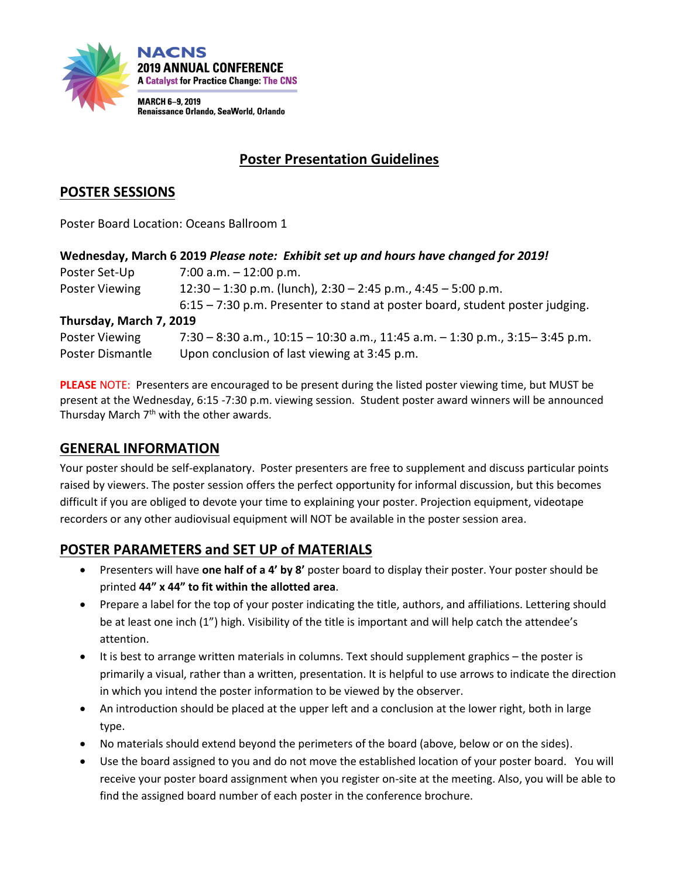

# **Poster Presentation Guidelines**

## **POSTER SESSIONS**

Poster Board Location: Oceans Ballroom 1

|  | Wednesday, March 6 2019 Please note: Exhibit set up and hours have changed for 2019! |
|--|--------------------------------------------------------------------------------------|
|--|--------------------------------------------------------------------------------------|

| Poster Set-Up           | 7:00 a.m. $-$ 12:00 p.m.                                                       |
|-------------------------|--------------------------------------------------------------------------------|
| Poster Viewing          | $12:30 - 1:30$ p.m. (lunch), $2:30 - 2:45$ p.m., $4:45 - 5:00$ p.m.            |
|                         | $6:15 - 7:30$ p.m. Presenter to stand at poster board, student poster judging. |
| Thursday, March 7, 2019 |                                                                                |

Poster Viewing 7:30 – 8:30 a.m., 10:15 – 10:30 a.m., 11:45 a.m. – 1:30 p.m., 3:15– 3:45 p.m. Poster Dismantle Upon conclusion of last viewing at 3:45 p.m.

**PLEASE** NOTE: Presenters are encouraged to be present during the listed poster viewing time, but MUST be present at the Wednesday, 6:15 -7:30 p.m. viewing session. Student poster award winners will be announced Thursday March 7<sup>th</sup> with the other awards.

### **GENERAL INFORMATION**

Your poster should be self-explanatory. Poster presenters are free to supplement and discuss particular points raised by viewers. The poster session offers the perfect opportunity for informal discussion, but this becomes difficult if you are obliged to devote your time to explaining your poster. Projection equipment, videotape recorders or any other audiovisual equipment will NOT be available in the poster session area.

### **POSTER PARAMETERS and SET UP of MATERIALS**

- Presenters will have **one half of a 4' by 8'** poster board to display their poster. Your poster should be printed **44" x 44" to fit within the allotted area**.
- Prepare a label for the top of your poster indicating the title, authors, and affiliations. Lettering should be at least one inch (1") high. Visibility of the title is important and will help catch the attendee's attention.
- It is best to arrange written materials in columns. Text should supplement graphics the poster is primarily a visual, rather than a written, presentation. It is helpful to use arrows to indicate the direction in which you intend the poster information to be viewed by the observer.
- An introduction should be placed at the upper left and a conclusion at the lower right, both in large type.
- No materials should extend beyond the perimeters of the board (above, below or on the sides).
- Use the board assigned to you and do not move the established location of your poster board. You will receive your poster board assignment when you register on-site at the meeting. Also, you will be able to find the assigned board number of each poster in the conference brochure.